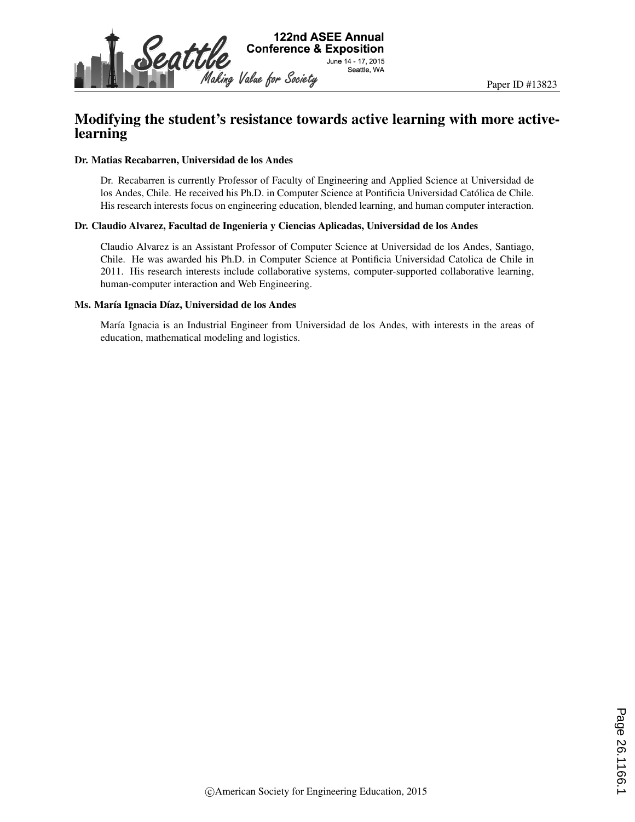

# Modifying the student's resistance towards active learning with more activelearning

#### Dr. Matias Recabarren, Universidad de los Andes

Dr. Recabarren is currently Professor of Faculty of Engineering and Applied Science at Universidad de los Andes, Chile. He received his Ph.D. in Computer Science at Pontificia Universidad Católica de Chile. His research interests focus on engineering education, blended learning, and human computer interaction.

#### Dr. Claudio Alvarez, Facultad de Ingenieria y Ciencias Aplicadas, Universidad de los Andes

Claudio Alvarez is an Assistant Professor of Computer Science at Universidad de los Andes, Santiago, Chile. He was awarded his Ph.D. in Computer Science at Pontificia Universidad Catolica de Chile in 2011. His research interests include collaborative systems, computer-supported collaborative learning, human-computer interaction and Web Engineering.

#### Ms. María Ignacia Díaz, Universidad de los Andes

María Ignacia is an Industrial Engineer from Universidad de los Andes, with interests in the areas of education, mathematical modeling and logistics.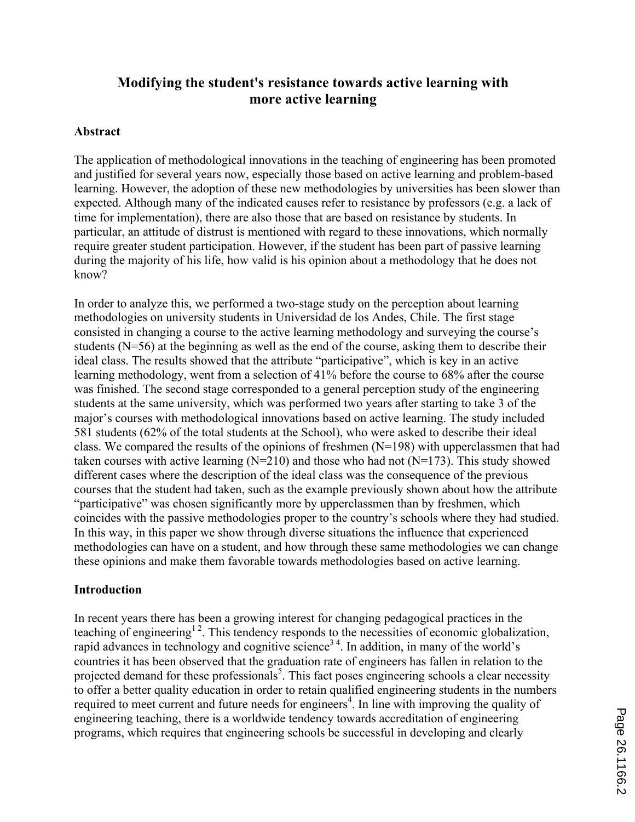# **Modifying the student's resistance towards active learning with more active learning**

# **Abstract**

The application of methodological innovations in the teaching of engineering has been promoted and justified for several years now, especially those based on active learning and problem-based learning. However, the adoption of these new methodologies by universities has been slower than expected. Although many of the indicated causes refer to resistance by professors (e.g. a lack of time for implementation), there are also those that are based on resistance by students. In particular, an attitude of distrust is mentioned with regard to these innovations, which normally require greater student participation. However, if the student has been part of passive learning during the majority of his life, how valid is his opinion about a methodology that he does not know?

In order to analyze this, we performed a two-stage study on the perception about learning methodologies on university students in Universidad de los Andes, Chile. The first stage consisted in changing a course to the active learning methodology and surveying the course's students (N=56) at the beginning as well as the end of the course, asking them to describe their ideal class. The results showed that the attribute "participative", which is key in an active learning methodology, went from a selection of 41% before the course to 68% after the course was finished. The second stage corresponded to a general perception study of the engineering students at the same university, which was performed two years after starting to take 3 of the major's courses with methodological innovations based on active learning. The study included 581 students (62% of the total students at the School), who were asked to describe their ideal class. We compared the results of the opinions of freshmen (N=198) with upperclassmen that had taken courses with active learning  $(N=210)$  and those who had not  $(N=173)$ . This study showed different cases where the description of the ideal class was the consequence of the previous courses that the student had taken, such as the example previously shown about how the attribute "participative" was chosen significantly more by upperclassmen than by freshmen, which coincides with the passive methodologies proper to the country's schools where they had studied. In this way, in this paper we show through diverse situations the influence that experienced methodologies can have on a student, and how through these same methodologies we can change these opinions and make them favorable towards methodologies based on active learning.

### **Introduction**

In recent years there has been a growing interest for changing pedagogical practices in the teaching of engineering<sup>12</sup>. This tendency responds to the necessities of economic globalization, rapid advances in technology and cognitive science<sup>34</sup>. In addition, in many of the world's countries it has been observed that the graduation rate of engineers has fallen in relation to the projected demand for these professionals<sup>5</sup>. This fact poses engineering schools a clear necessity to offer a better quality education in order to retain qualified engineering students in the numbers required to meet current and future needs for engineers<sup>4</sup>. In line with improving the quality of engineering teaching, there is a worldwide tendency towards accreditation of engineering programs, which requires that engineering schools be successful in developing and clearly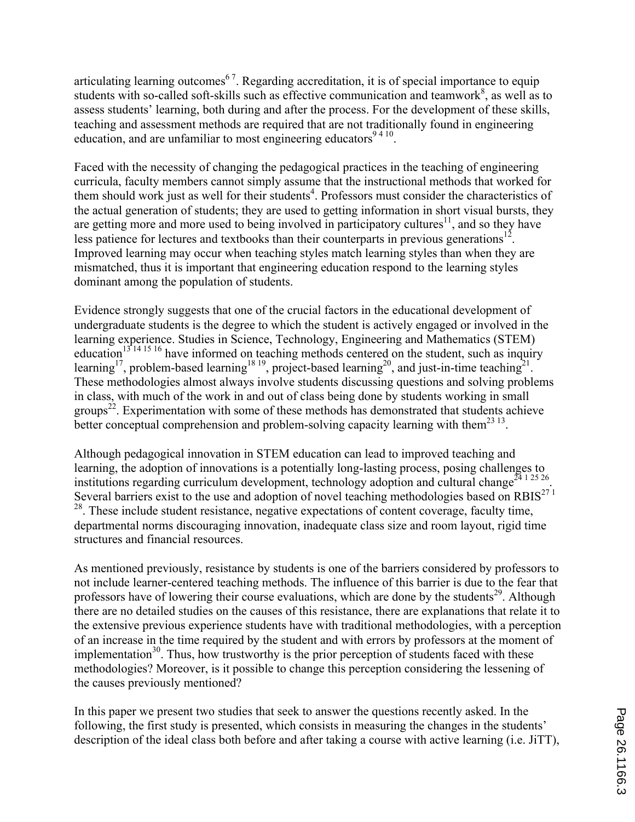articulating learning outcomes<sup>67</sup>. Regarding accreditation, it is of special importance to equip students with so-called soft-skills such as effective communication and teamwork<sup>8</sup>, as well as to assess students' learning, both during and after the process. For the development of these skills, teaching and assessment methods are required that are not traditionally found in engineering education, and are unfamiliar to most engineering educators  $9410$ .

Faced with the necessity of changing the pedagogical practices in the teaching of engineering curricula, faculty members cannot simply assume that the instructional methods that worked for them should work just as well for their students<sup>4</sup>. Professors must consider the characteristics of the actual generation of students; they are used to getting information in short visual bursts, they are getting more and more used to being involved in participatory cultures<sup>11</sup>, and so they have less patience for lectures and textbooks than their counterparts in previous generations<sup>12</sup>. Improved learning may occur when teaching styles match learning styles than when they are mismatched, thus it is important that engineering education respond to the learning styles dominant among the population of students.

Evidence strongly suggests that one of the crucial factors in the educational development of undergraduate students is the degree to which the student is actively engaged or involved in the learning experience. Studies in Science, Technology, Engineering and Mathematics (STEM) education<sup>13</sup><sup>14 15 16</sup> have informed on teaching methods centered on the student, such as inquiry learning<sup>17</sup>, problem-based learning<sup>18 19</sup>, project-based learning<sup>20</sup>, and just-in-time teaching<sup>21</sup>. These methodologies almost always involve students discussing questions and solving problems in class, with much of the work in and out of class being done by students working in small groups<sup>22</sup>. Experimentation with some of these methods has demonstrated that students achieve better conceptual comprehension and problem-solving capacity learning with them<sup>23 13</sup>.

Although pedagogical innovation in STEM education can lead to improved teaching and learning, the adoption of innovations is a potentially long-lasting process, posing challenges to institutions regarding curriculum development, technology adoption and cultural change<sup>24 1 25</sup> 26 Several barriers exist to the use and adoption of novel teaching methodologies based on  $RBIS^{27}$ <sup>1</sup> <sup>28</sup>. These include student resistance, negative expectations of content coverage, faculty time, departmental norms discouraging innovation, inadequate class size and room layout, rigid time structures and financial resources.

As mentioned previously, resistance by students is one of the barriers considered by professors to not include learner-centered teaching methods. The influence of this barrier is due to the fear that professors have of lowering their course evaluations, which are done by the students<sup>29</sup>. Although there are no detailed studies on the causes of this resistance, there are explanations that relate it to the extensive previous experience students have with traditional methodologies, with a perception of an increase in the time required by the student and with errors by professors at the moment of implementation $30$ . Thus, how trustworthy is the prior perception of students faced with these methodologies? Moreover, is it possible to change this perception considering the lessening of the causes previously mentioned?

In this paper we present two studies that seek to answer the questions recently asked. In the following, the first study is presented, which consists in measuring the changes in the students' description of the ideal class both before and after taking a course with active learning (i.e. JiTT),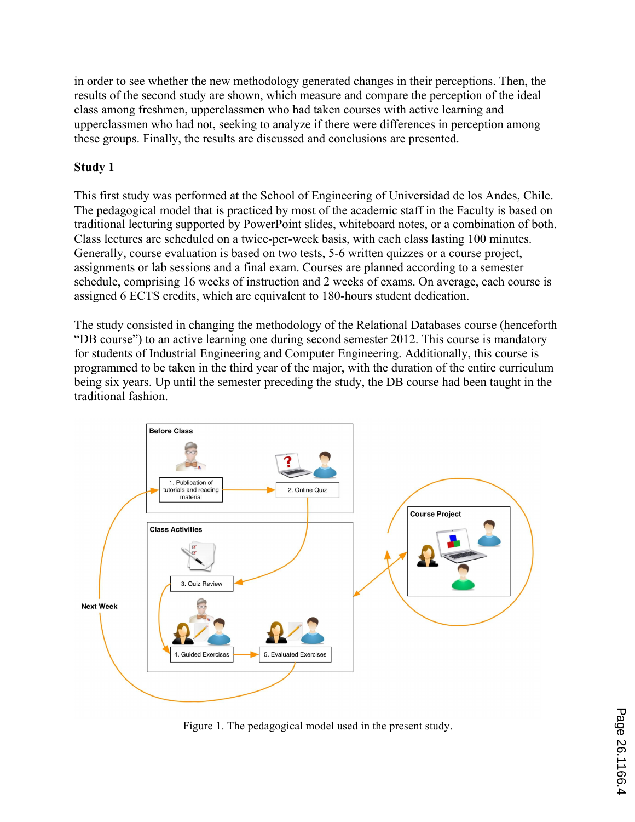in order to see whether the new methodology generated changes in their perceptions. Then, the results of the second study are shown, which measure and compare the perception of the ideal class among freshmen, upperclassmen who had taken courses with active learning and upperclassmen who had not, seeking to analyze if there were differences in perception among these groups. Finally, the results are discussed and conclusions are presented.

# **Study 1**

This first study was performed at the School of Engineering of Universidad de los Andes, Chile. The pedagogical model that is practiced by most of the academic staff in the Faculty is based on traditional lecturing supported by PowerPoint slides, whiteboard notes, or a combination of both. Class lectures are scheduled on a twice-per-week basis, with each class lasting 100 minutes. Generally, course evaluation is based on two tests, 5-6 written quizzes or a course project, assignments or lab sessions and a final exam. Courses are planned according to a semester schedule, comprising 16 weeks of instruction and 2 weeks of exams. On average, each course is assigned 6 ECTS credits, which are equivalent to 180-hours student dedication.

The study consisted in changing the methodology of the Relational Databases course (henceforth "DB course") to an active learning one during second semester 2012. This course is mandatory for students of Industrial Engineering and Computer Engineering. Additionally, this course is programmed to be taken in the third year of the major, with the duration of the entire curriculum being six years. Up until the semester preceding the study, the DB course had been taught in the traditional fashion.



Figure 1. The pedagogical model used in the present study.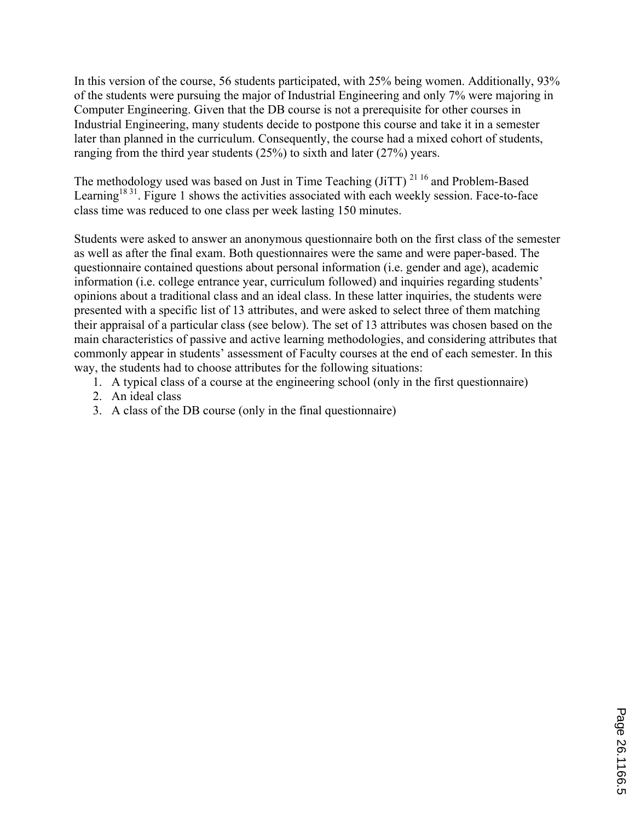In this version of the course, 56 students participated, with 25% being women. Additionally, 93% of the students were pursuing the major of Industrial Engineering and only 7% were majoring in Computer Engineering. Given that the DB course is not a prerequisite for other courses in Industrial Engineering, many students decide to postpone this course and take it in a semester later than planned in the curriculum. Consequently, the course had a mixed cohort of students, ranging from the third year students (25%) to sixth and later (27%) years.

The methodology used was based on Just in Time Teaching (JiTT)<sup>21 16</sup> and Problem-Based Learning<sup>18 31</sup>. Figure 1 shows the activities associated with each weekly session. Face-to-face class time was reduced to one class per week lasting 150 minutes.

Students were asked to answer an anonymous questionnaire both on the first class of the semester as well as after the final exam. Both questionnaires were the same and were paper-based. The questionnaire contained questions about personal information (i.e. gender and age), academic information (i.e. college entrance year, curriculum followed) and inquiries regarding students' opinions about a traditional class and an ideal class. In these latter inquiries, the students were presented with a specific list of 13 attributes, and were asked to select three of them matching their appraisal of a particular class (see below). The set of 13 attributes was chosen based on the main characteristics of passive and active learning methodologies, and considering attributes that commonly appear in students' assessment of Faculty courses at the end of each semester. In this way, the students had to choose attributes for the following situations:

- 1. A typical class of a course at the engineering school (only in the first questionnaire)
- 2. An ideal class
- 3. A class of the DB course (only in the final questionnaire)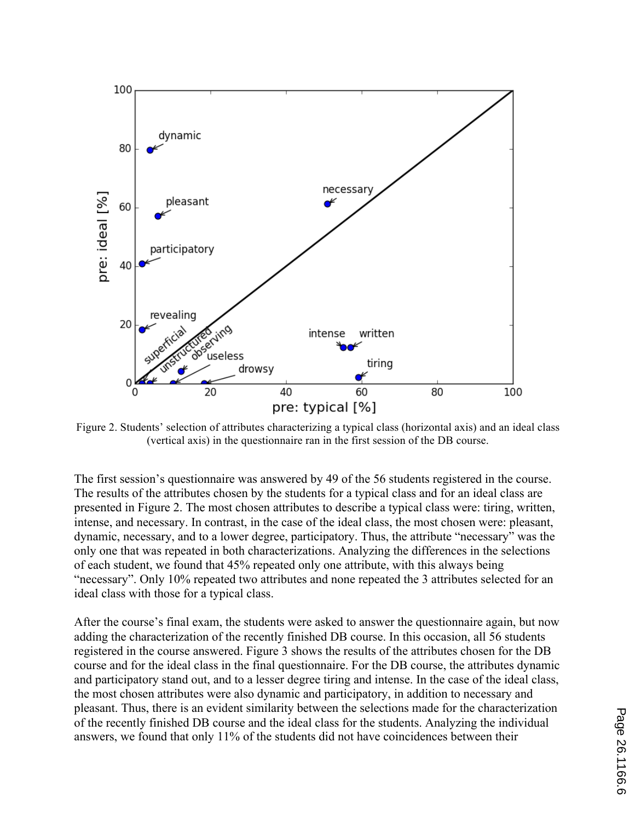

Figure 2. Students' selection of attributes characterizing a typical class (horizontal axis) and an ideal class (vertical axis) in the questionnaire ran in the first session of the DB course.

The first session's questionnaire was answered by 49 of the 56 students registered in the course. The results of the attributes chosen by the students for a typical class and for an ideal class are presented in Figure 2. The most chosen attributes to describe a typical class were: tiring, written, intense, and necessary. In contrast, in the case of the ideal class, the most chosen were: pleasant, dynamic, necessary, and to a lower degree, participatory. Thus, the attribute "necessary" was the only one that was repeated in both characterizations. Analyzing the differences in the selections of each student, we found that 45% repeated only one attribute, with this always being "necessary". Only 10% repeated two attributes and none repeated the 3 attributes selected for an ideal class with those for a typical class.

After the course's final exam, the students were asked to answer the questionnaire again, but now adding the characterization of the recently finished DB course. In this occasion, all 56 students registered in the course answered. Figure 3 shows the results of the attributes chosen for the DB course and for the ideal class in the final questionnaire. For the DB course, the attributes dynamic and participatory stand out, and to a lesser degree tiring and intense. In the case of the ideal class, the most chosen attributes were also dynamic and participatory, in addition to necessary and pleasant. Thus, there is an evident similarity between the selections made for the characterization of the recently finished DB course and the ideal class for the students. Analyzing the individual answers, we found that only 11% of the students did not have coincidences between their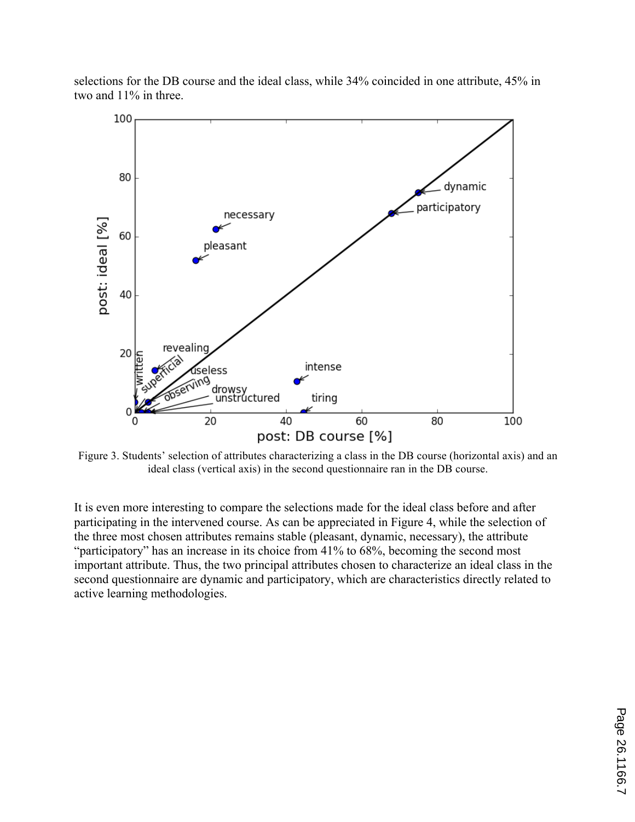selections for the DB course and the ideal class, while 34% coincided in one attribute, 45% in two and 11% in three.



Figure 3. Students' selection of attributes characterizing a class in the DB course (horizontal axis) and an ideal class (vertical axis) in the second questionnaire ran in the DB course.

It is even more interesting to compare the selections made for the ideal class before and after participating in the intervened course. As can be appreciated in Figure 4, while the selection of the three most chosen attributes remains stable (pleasant, dynamic, necessary), the attribute "participatory" has an increase in its choice from 41% to 68%, becoming the second most important attribute. Thus, the two principal attributes chosen to characterize an ideal class in the second questionnaire are dynamic and participatory, which are characteristics directly related to active learning methodologies.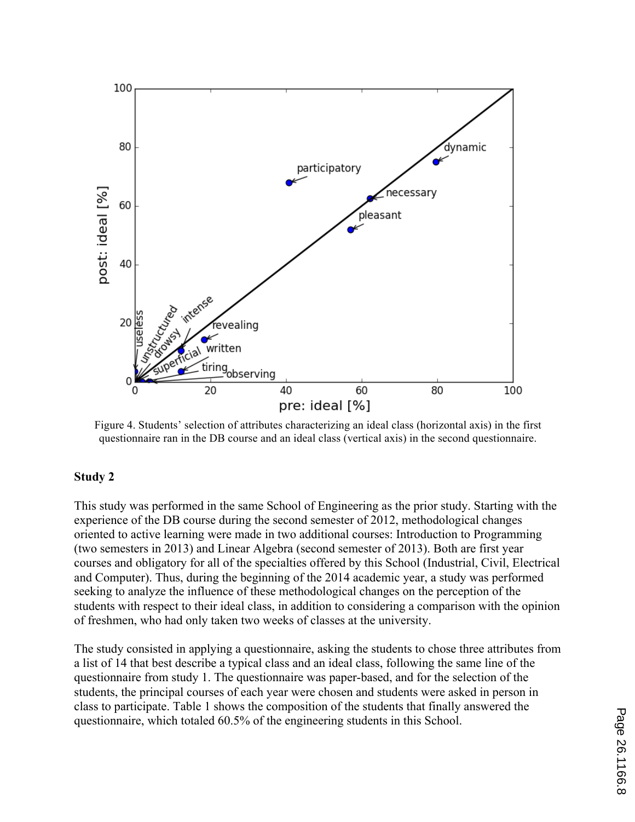

Figure 4. Students' selection of attributes characterizing an ideal class (horizontal axis) in the first questionnaire ran in the DB course and an ideal class (vertical axis) in the second questionnaire.

### **Study 2**

This study was performed in the same School of Engineering as the prior study. Starting with the experience of the DB course during the second semester of 2012, methodological changes oriented to active learning were made in two additional courses: Introduction to Programming (two semesters in 2013) and Linear Algebra (second semester of 2013). Both are first year courses and obligatory for all of the specialties offered by this School (Industrial, Civil, Electrical and Computer). Thus, during the beginning of the 2014 academic year, a study was performed seeking to analyze the influence of these methodological changes on the perception of the students with respect to their ideal class, in addition to considering a comparison with the opinion of freshmen, who had only taken two weeks of classes at the university.

The study consisted in applying a questionnaire, asking the students to chose three attributes from a list of 14 that best describe a typical class and an ideal class, following the same line of the questionnaire from study 1. The questionnaire was paper-based, and for the selection of the students, the principal courses of each year were chosen and students were asked in person in class to participate. Table 1 shows the composition of the students that finally answered the questionnaire, which totaled 60.5% of the engineering students in this School.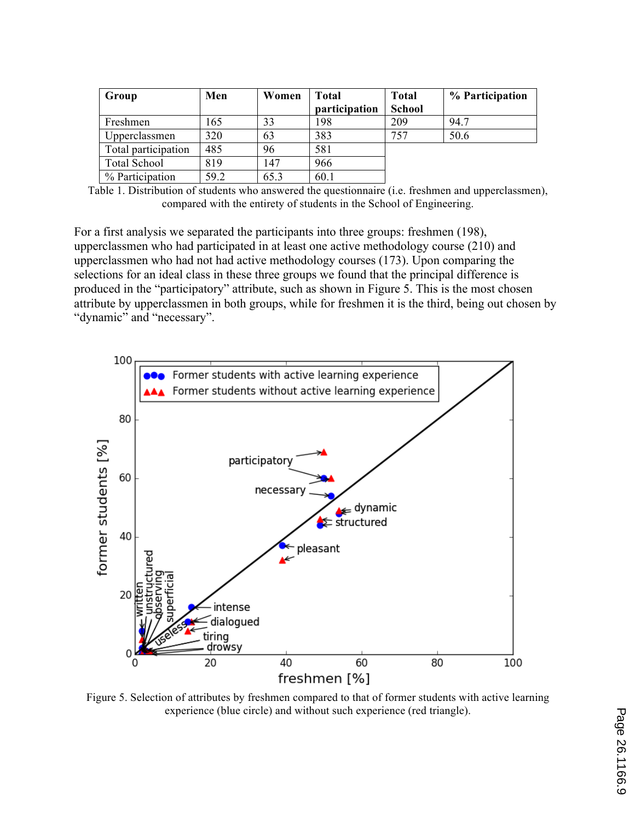| Group               | Men  | Women | <b>Total</b><br>participation | <b>Total</b><br><b>School</b> | % Participation |
|---------------------|------|-------|-------------------------------|-------------------------------|-----------------|
| Freshmen            | 165  | 33    | 198                           | 209                           | 94.7            |
| Upperclassmen       | 320  | 63    | 383                           | 757                           | 50.6            |
| Total participation | 485  | 96    | 581                           |                               |                 |
| <b>Total School</b> | 819  | 147   | 966                           |                               |                 |
| % Participation     | 59.2 | 65.3  | 60.1                          |                               |                 |

Table 1. Distribution of students who answered the questionnaire (i.e. freshmen and upperclassmen), compared with the entirety of students in the School of Engineering.

For a first analysis we separated the participants into three groups: freshmen (198), upperclassmen who had participated in at least one active methodology course (210) and upperclassmen who had not had active methodology courses (173). Upon comparing the selections for an ideal class in these three groups we found that the principal difference is produced in the "participatory" attribute, such as shown in Figure 5. This is the most chosen attribute by upperclassmen in both groups, while for freshmen it is the third, being out chosen by "dynamic" and "necessary".



Figure 5. Selection of attributes by freshmen compared to that of former students with active learning experience (blue circle) and without such experience (red triangle).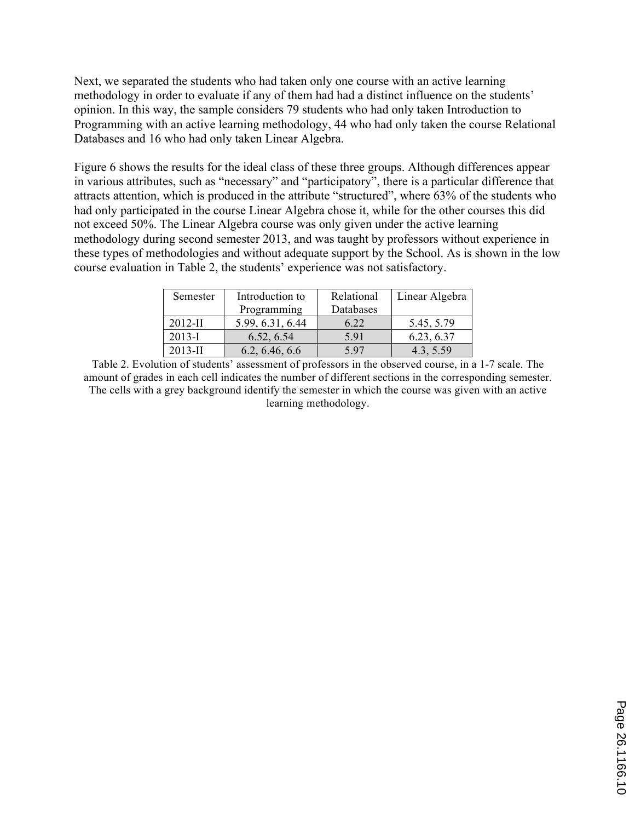Next, we separated the students who had taken only one course with an active learning methodology in order to evaluate if any of them had had a distinct influence on the students' opinion. In this way, the sample considers 79 students who had only taken Introduction to Programming with an active learning methodology, 44 who had only taken the course Relational Databases and 16 who had only taken Linear Algebra.

Figure 6 shows the results for the ideal class of these three groups. Although differences appear in various attributes, such as "necessary" and "participatory", there is a particular difference that attracts attention, which is produced in the attribute "structured", where 63% of the students who had only participated in the course Linear Algebra chose it, while for the other courses this did not exceed 50%. The Linear Algebra course was only given under the active learning methodology during second semester 2013, and was taught by professors without experience in these types of methodologies and without adequate support by the School. As is shown in the low course evaluation in Table 2, the students' experience was not satisfactory.

| Semester   | Introduction to  | Relational | Linear Algebra |
|------------|------------------|------------|----------------|
|            | Programming      | Databases  |                |
| $2012$ -II | 5.99, 6.31, 6.44 | 6.22       | 5.45, 5.79     |
| $2013 - I$ | 6.52, 6.54       | 5.91       | 6.23, 6.37     |
| $2013$ -II | 6.2, 6.46, 6.6   | 597        | 4.3, 5.59      |

Table 2. Evolution of students' assessment of professors in the observed course, in a 1-7 scale. The amount of grades in each cell indicates the number of different sections in the corresponding semester. The cells with a grey background identify the semester in which the course was given with an active learning methodology.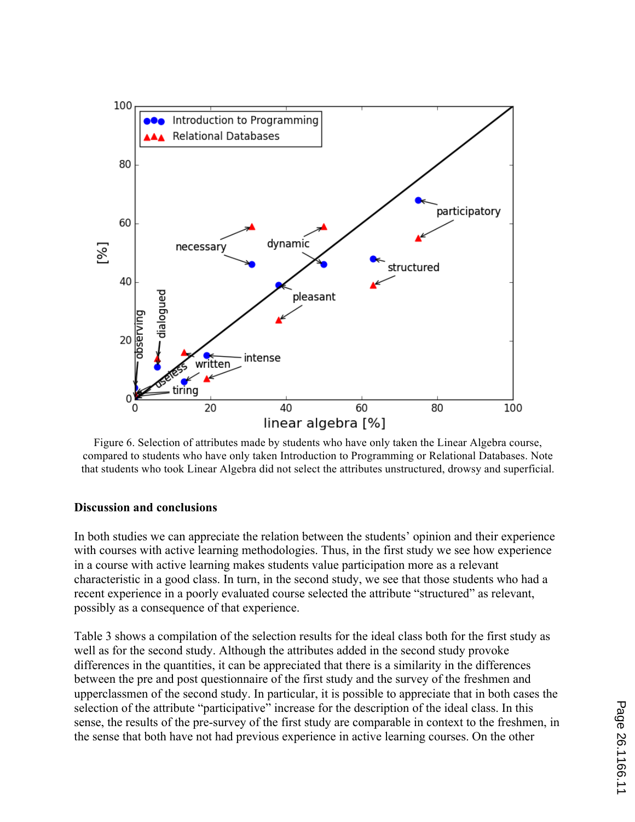

Figure 6. Selection of attributes made by students who have only taken the Linear Algebra course, compared to students who have only taken Introduction to Programming or Relational Databases. Note that students who took Linear Algebra did not select the attributes unstructured, drowsy and superficial.

#### **Discussion and conclusions**

In both studies we can appreciate the relation between the students' opinion and their experience with courses with active learning methodologies. Thus, in the first study we see how experience in a course with active learning makes students value participation more as a relevant characteristic in a good class. In turn, in the second study, we see that those students who had a recent experience in a poorly evaluated course selected the attribute "structured" as relevant, possibly as a consequence of that experience.

Table 3 shows a compilation of the selection results for the ideal class both for the first study as well as for the second study. Although the attributes added in the second study provoke differences in the quantities, it can be appreciated that there is a similarity in the differences between the pre and post questionnaire of the first study and the survey of the freshmen and upperclassmen of the second study. In particular, it is possible to appreciate that in both cases the selection of the attribute "participative" increase for the description of the ideal class. In this sense, the results of the pre-survey of the first study are comparable in context to the freshmen, in the sense that both have not had previous experience in active learning courses. On the other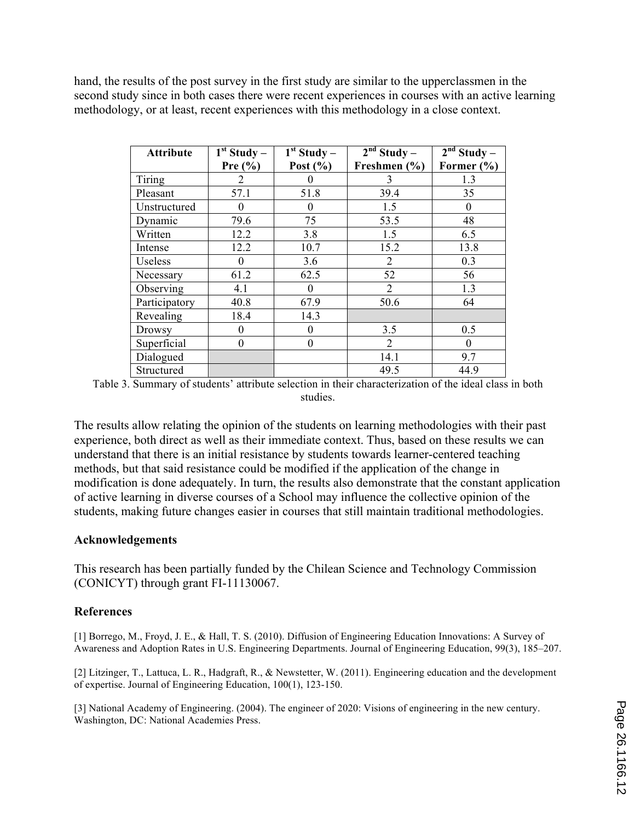hand, the results of the post survey in the first study are similar to the upperclassmen in the second study since in both cases there were recent experiences in courses with an active learning methodology, or at least, recent experiences with this methodology in a close context.

| <b>Attribute</b> | $1st$ Study – | $\overline{1}$ <sup>st</sup> Study – | $2nd$ Study –  | $2nd$ Study – |
|------------------|---------------|--------------------------------------|----------------|---------------|
|                  | Pre $(\% )$   | Post $(\% )$                         | Freshmen (%)   | Former (%)    |
| Tiring           | 2             | U                                    | 3              | 1.3           |
| Pleasant         | 57.1          | 51.8                                 | 39.4           | 35            |
| Unstructured     | $\theta$      | 0                                    | 1.5            | $\theta$      |
| Dynamic          | 79.6          | 75                                   | 53.5           | 48            |
| Written          | 12.2          | 3.8                                  | 1.5            | 6.5           |
| Intense          | 12.2          | 10.7                                 | 15.2           | 13.8          |
| Useless          | $\theta$      | 3.6                                  | 2              | 0.3           |
| Necessary        | 61.2          | 62.5                                 | 52             | 56            |
| Observing        | 4.1           | 0                                    | $\overline{2}$ | 1.3           |
| Participatory    | 40.8          | 67.9                                 | 50.6           | 64            |
| Revealing        | 18.4          | 14.3                                 |                |               |
| Drowsy           | $\theta$      | 0                                    | 3.5            | 0.5           |
| Superficial      | $\theta$      | $\theta$                             | $\overline{2}$ | $\theta$      |
| Dialogued        |               |                                      | 14.1           | 9.7           |
| Structured       |               |                                      | 49.5           | 44.9          |

Table 3. Summary of students' attribute selection in their characterization of the ideal class in both studies.

The results allow relating the opinion of the students on learning methodologies with their past experience, both direct as well as their immediate context. Thus, based on these results we can understand that there is an initial resistance by students towards learner-centered teaching methods, but that said resistance could be modified if the application of the change in modification is done adequately. In turn, the results also demonstrate that the constant application of active learning in diverse courses of a School may influence the collective opinion of the students, making future changes easier in courses that still maintain traditional methodologies.

### **Acknowledgements**

This research has been partially funded by the Chilean Science and Technology Commission (CONICYT) through grant FI-11130067.

# **References**

[1] Borrego, M., Froyd, J. E., & Hall, T. S. (2010). Diffusion of Engineering Education Innovations: A Survey of Awareness and Adoption Rates in U.S. Engineering Departments. Journal of Engineering Education, 99(3), 185–207.

[2] Litzinger, T., Lattuca, L. R., Hadgraft, R., & Newstetter, W. (2011). Engineering education and the development of expertise. Journal of Engineering Education, 100(1), 123-150.

[3] National Academy of Engineering. (2004). The engineer of 2020: Visions of engineering in the new century. Washington, DC: National Academies Press.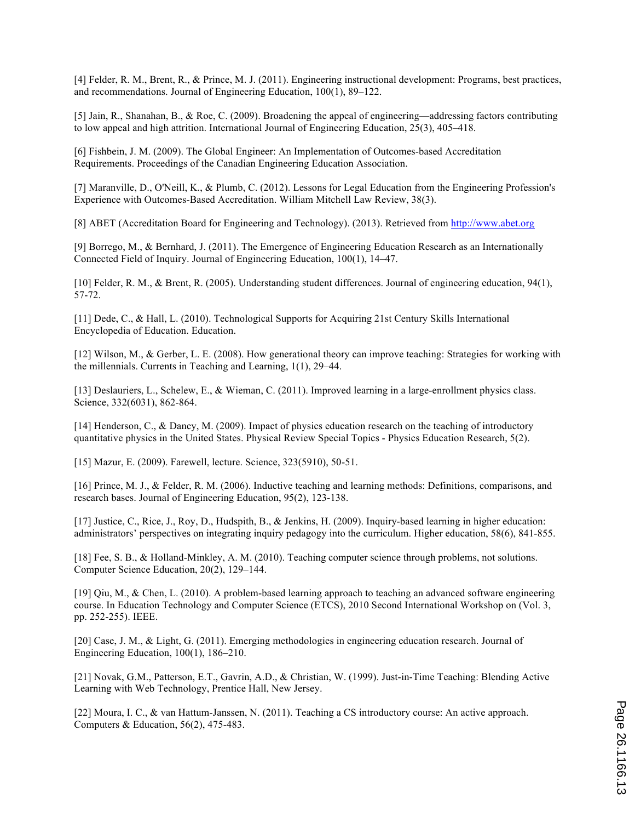[4] Felder, R. M., Brent, R., & Prince, M. J. (2011). Engineering instructional development: Programs, best practices, and recommendations. Journal of Engineering Education, 100(1), 89–122.

[5] Jain, R., Shanahan, B., & Roe, C. (2009). Broadening the appeal of engineering—addressing factors contributing to low appeal and high attrition. International Journal of Engineering Education, 25(3), 405–418.

[6] Fishbein, J. M. (2009). The Global Engineer: An Implementation of Outcomes-based Accreditation Requirements. Proceedings of the Canadian Engineering Education Association.

[7] Maranville, D., O'Neill, K., & Plumb, C. (2012). Lessons for Legal Education from the Engineering Profession's Experience with Outcomes-Based Accreditation. William Mitchell Law Review, 38(3).

[8] ABET (Accreditation Board for Engineering and Technology). (2013). Retrieved from http://www.abet.org

[9] Borrego, M., & Bernhard, J. (2011). The Emergence of Engineering Education Research as an Internationally Connected Field of Inquiry. Journal of Engineering Education, 100(1), 14–47.

[10] Felder, R. M., & Brent, R. (2005). Understanding student differences. Journal of engineering education, 94(1), 57-72.

[11] Dede, C., & Hall, L. (2010). Technological Supports for Acquiring 21st Century Skills International Encyclopedia of Education. Education.

[12] Wilson, M., & Gerber, L. E. (2008). How generational theory can improve teaching: Strategies for working with the millennials. Currents in Teaching and Learning, 1(1), 29–44.

[13] Deslauriers, L., Schelew, E., & Wieman, C. (2011). Improved learning in a large-enrollment physics class. Science, 332(6031), 862-864.

[14] Henderson, C., & Dancy, M. (2009). Impact of physics education research on the teaching of introductory quantitative physics in the United States. Physical Review Special Topics - Physics Education Research, 5(2).

[15] Mazur, E. (2009). Farewell, lecture. Science, 323(5910), 50-51.

[16] Prince, M. J., & Felder, R. M. (2006). Inductive teaching and learning methods: Definitions, comparisons, and research bases. Journal of Engineering Education, 95(2), 123-138.

[17] Justice, C., Rice, J., Roy, D., Hudspith, B., & Jenkins, H. (2009). Inquiry-based learning in higher education: administrators' perspectives on integrating inquiry pedagogy into the curriculum. Higher education, 58(6), 841-855.

[18] Fee, S. B., & Holland-Minkley, A. M. (2010). Teaching computer science through problems, not solutions. Computer Science Education, 20(2), 129–144.

[19] Qiu, M., & Chen, L. (2010). A problem-based learning approach to teaching an advanced software engineering course. In Education Technology and Computer Science (ETCS), 2010 Second International Workshop on (Vol. 3, pp. 252-255). IEEE.

[20] Case, J. M., & Light, G. (2011). Emerging methodologies in engineering education research. Journal of Engineering Education, 100(1), 186–210.

[21] Novak, G.M., Patterson, E.T., Gavrin, A.D., & Christian, W. (1999). Just-in-Time Teaching: Blending Active Learning with Web Technology, Prentice Hall, New Jersey.

[22] Moura, I. C., & van Hattum-Janssen, N. (2011). Teaching a CS introductory course: An active approach. Computers & Education, 56(2), 475-483.